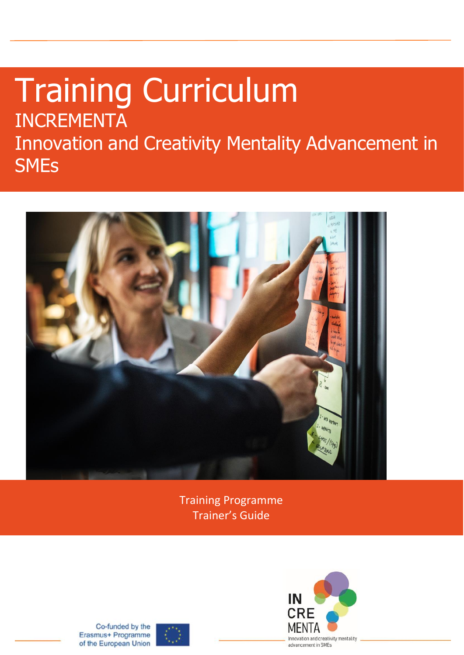# Training Curriculum INCREMENTA Innovation and Creativity Mentality Advancement in **SMEs**



Training Programme Trainer's Guide



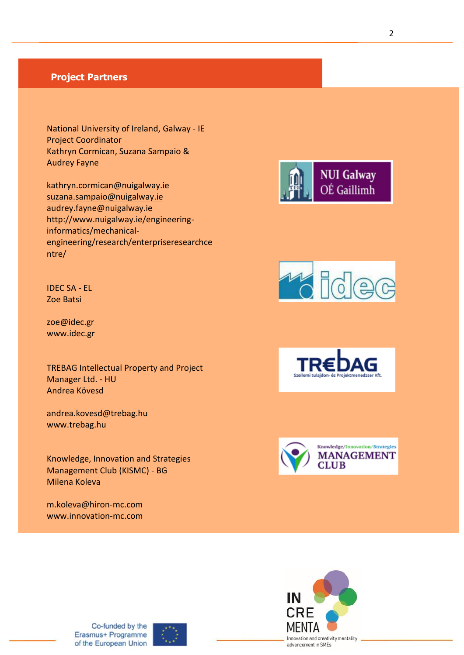### **Project Partners**

I

National University of Ireland, Galway - IE Project Coordinator Kathryn Cormican, Suzana Sampaio & Audrey Fayne

[kathryn.cormican@nuigalway.ie](mailto:kathryn.cormican@nuigalway.ie) [suzana.sampaio@nuigalway.ie](mailto:suzana.sampaio@nuigalway.ie) audrey.fayne@nuigalway.ie http://www.nuigalway.ie/engineeringinformatics/mechanicalengineering/research/enterpriseresearchce ntre/



zoe@idec.gr www.idec.gr

TREBAG Intellectual Property and Project Manager Ltd. - HU Andrea Kövesd

andrea.kovesd@trebag.hu [www.trebag.hu](http://www.trebag.hu/)

Knowledge, Innovation and Strategies Management Club (KISMC) - BG Milena Koleva

m.koleva@hiron-mc.com www.innovation-mc.com











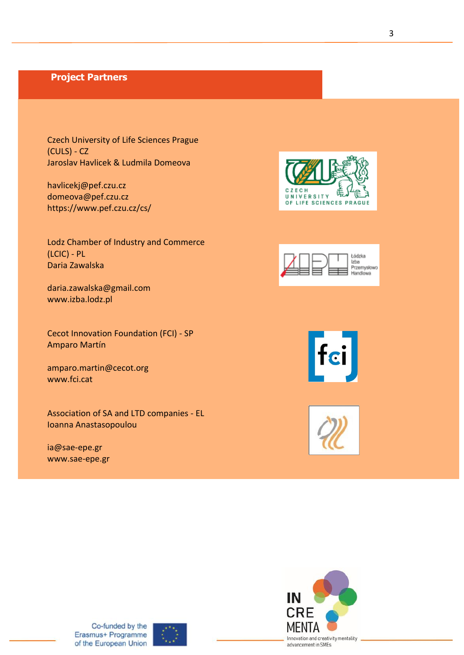### **Project Partners**

Czech University of Life Sciences Prague (CULS) - CZ Jaroslav Havlicek & Ludmila Domeova

[havlicekj@pef.czu.cz](mailto:havlicekj@pef.czu.cz) domeova@pef.czu.cz https://www.pef.czu.cz/cs/

Lodz Chamber of Industry and Commerce (LCIC) - PL Daria Zawalska

[daria.zawalska@gmail.com](mailto:daria.zawalska@gmail.com) [www.izba.lodz.pl](http://www.izba.lodz.pl/)

Cecot Innovation Foundation (FCI) - SP Amparo Martín

[amparo.martin@cecot.org](mailto:amparo.martin@cecot.org) [www.fci.cat](http://www.fci.cat/)

Association of SA and LTD companies - EL Ioanna Anastasopoulou

ia@sae-epe.gr www.sae-epe.gr











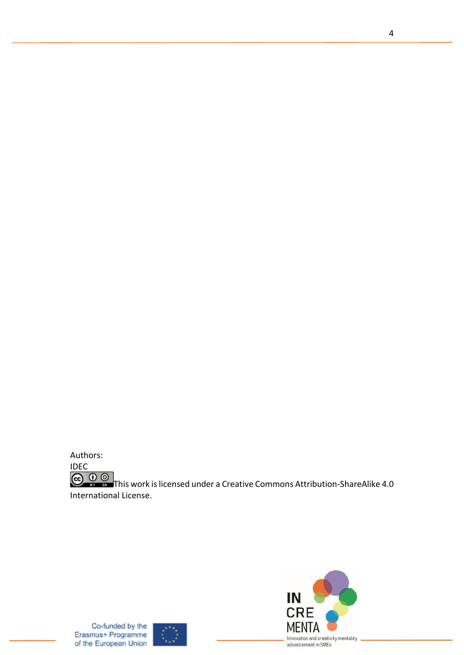



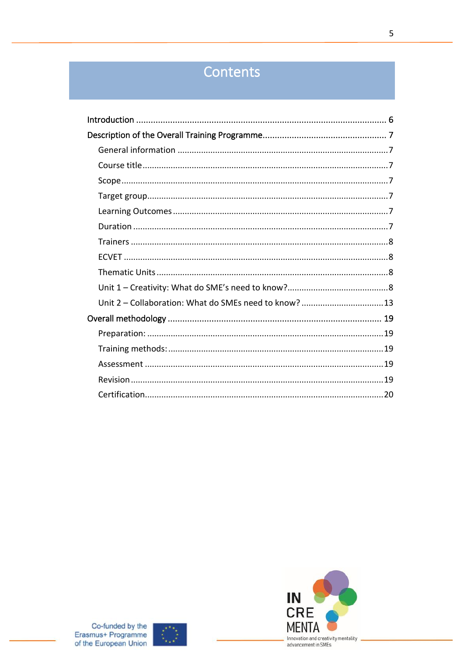# Contents

| Unit 2 - Collaboration: What do SMEs need to know?  13 |
|--------------------------------------------------------|
|                                                        |
|                                                        |
|                                                        |
|                                                        |
|                                                        |
|                                                        |



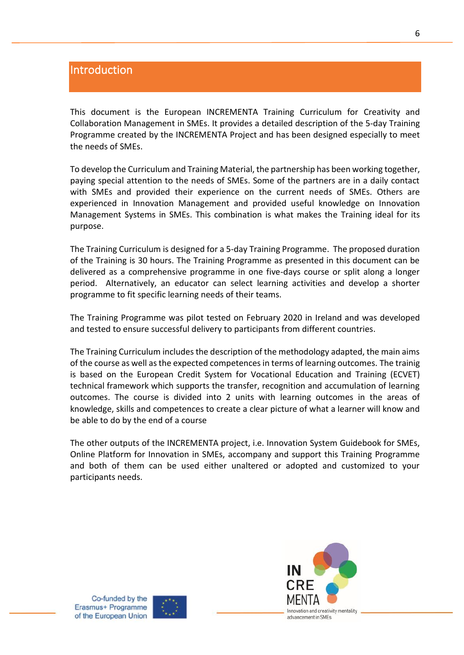### <span id="page-5-0"></span>Introduction

This document is the European INCREMENTA Training Curriculum for Creativity and Collaboration Management in SMEs. It provides a detailed description of the 5-day Training Programme created by the INCREMENTA Project and has been designed especially to meet the needs of SMEs.

To develop the Curriculum and Training Material, the partnership has been working together, paying special attention to the needs of SMEs. Some of the partners are in a daily contact with SMEs and provided their experience on the current needs of SMEs. Others are experienced in Innovation Management and provided useful knowledge on Innovation Management Systems in SMEs. This combination is what makes the Training ideal for its purpose.

The Training Curriculum is designed for a 5-day Training Programme. The proposed duration of the Training is 30 hours. The Training Programme as presented in this document can be delivered as a comprehensive programme in one five-days course or split along a longer period. Alternatively, an educator can select learning activities and develop a shorter programme to fit specific learning needs of their teams.

The Training Programme was pilot tested on February 2020 in Ireland and was developed and tested to ensure successful delivery to participants from different countries.

The Training Curriculum includes the description of the methodology adapted, the main aims of the course as well as the expected competences in terms of learning outcomes. The trainig is based on the European Credit System for Vocational Education and Training (ECVET) technical framework which supports the transfer, recognition and accumulation of learning outcomes. The course is divided into 2 units with learning outcomes in the areas of knowledge, skills and competences to create a clear picture of what a learner will know and be able to do by the end of a course

The other outputs of the INCREMENTA project, i.e. Innovation System Guidebook for SMEs, Online Platform for Innovation in SMEs, accompany and support this Training Programme and both of them can be used either unaltered or adopted and customized to your participants needs.



Co-funded by the Erasmus+ Programme of the European Union

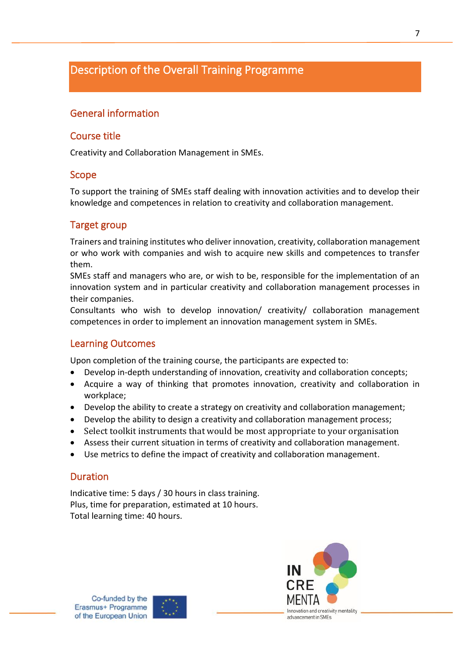### <span id="page-6-0"></span>Description of the Overall Training Programme

### <span id="page-6-1"></span>General information

### <span id="page-6-2"></span>Course title

Creativity and Collaboration Management in SMEs.

### <span id="page-6-3"></span>Scope

To support the training of SMEs staff dealing with innovation activities and to develop their knowledge and competences in relation to creativity and collaboration management.

### <span id="page-6-4"></span>Target group

Trainers and training institutes who deliver innovation, creativity, collaboration management or who work with companies and wish to acquire new skills and competences to transfer them.

SMEs staff and managers who are, or wish to be, responsible for the implementation of an innovation system and in particular creativity and collaboration management processes in their companies.

Consultants who wish to develop innovation/ creativity/ collaboration management competences in order to implement an innovation management system in SMEs.

### <span id="page-6-5"></span>Learning Outcomes

Upon completion of the training course, the participants are expected to:

- Develop in-depth understanding of innovation, creativity and collaboration concepts;
- Acquire a way of thinking that promotes innovation, creativity and collaboration in workplace;
- Develop the ability to create a strategy on creativity and collaboration management;
- Develop the ability to design a creativity and collaboration management process;
- Select toolkit instruments that would be most appropriate to your organisation
- Assess their current situation in terms of creativity and collaboration management.
- Use metrics to define the impact of creativity and collaboration management.

### <span id="page-6-6"></span>Duration

Indicative time: 5 days / 30 hours in class training. Plus, time for preparation, estimated at 10 hours. Total learning time: 40 hours.



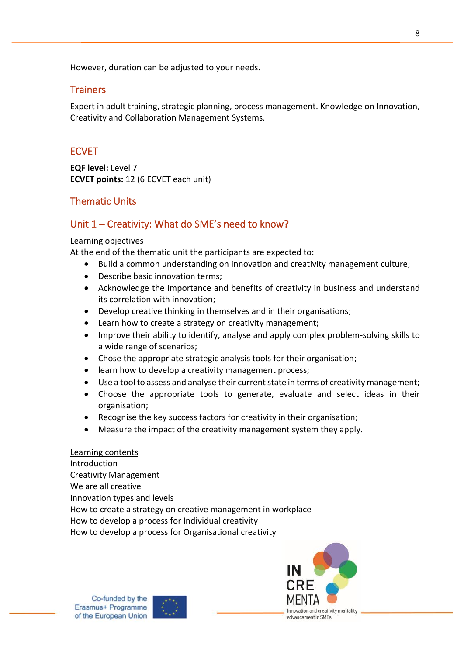### However, duration can be adjusted to your needs.

### <span id="page-7-0"></span>**Trainers**

Expert in adult training, strategic planning, process management. Knowledge on Innovation, Creativity and Collaboration Management Systems.

### <span id="page-7-1"></span>ECVET

**EQF level:** Level 7 **ECVET points:** 12 (6 ECVET each unit)

### <span id="page-7-2"></span>Thematic Units

### <span id="page-7-3"></span>Unit 1 – Creativity: What do SME's need to know?

#### Learning objectives

At the end of the thematic unit the participants are expected to:

- Build a common understanding on innovation and creativity management culture;
- Describe basic innovation terms;
- Acknowledge the importance and benefits of creativity in business and understand its correlation with innovation;
- Develop creative thinking in themselves and in their organisations;
- Learn how to create a strategy on creativity management;
- Improve their ability to identify, analyse and apply complex problem-solving skills to a wide range of scenarios;
- Chose the appropriate strategic analysis tools for their organisation;
- learn how to develop a creativity management process;
- Use a tool to assess and analyse their current state in terms of creativity management;
- Choose the appropriate tools to generate, evaluate and select ideas in their organisation;
- Recognise the key success factors for creativity in their organisation;
- Measure the impact of the creativity management system they apply.

### Learning contents

Introduction Creativity Management We are all creative Innovation types and levels How to create a strategy on creative management in workplace How to develop a process for Individual creativity How to develop a process for Organisational creativity



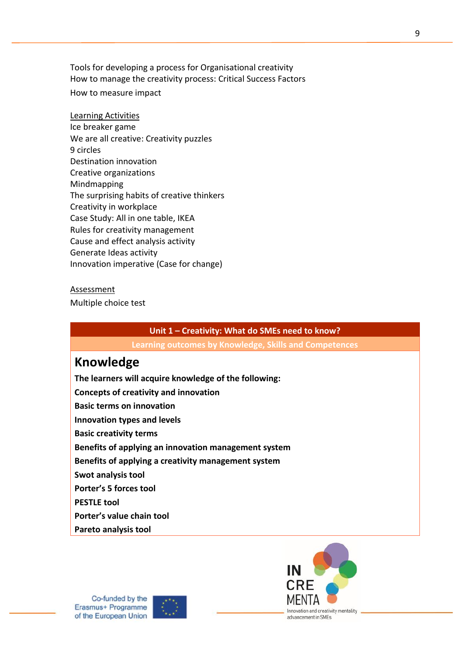Tools for developing a process for Organisational creativity How to manage the creativity process: Critical Success Factors How to measure impact

### Learning Activities Ice breaker game We are all creative: Creativity puzzles 9 circles Destination innovation Creative organizations Mindmapping The surprising habits of creative thinkers Creativity in workplace Case Study: All in one table, IKEA Rules for creativity management Cause and effect analysis activity Generate Ideas activity Innovation imperative (Case for change)

#### **Assessment**

Multiple choice test

### **Unit 1 – Creativity: What do SMEs need to know?**

**Learning outcomes by Knowledge, Skills and Competences**

### **Knowledge**

**The learners will acquire knowledge of the following: Concepts of creativity and innovation Basic terms on innovation Innovation types and levels Basic creativity terms Benefits of applying an innovation management system Benefits of applying a creativity management system Swot analysis tool Porter's 5 forces tool PESTLE tool Porter's value chain tool Pareto analysis tool**



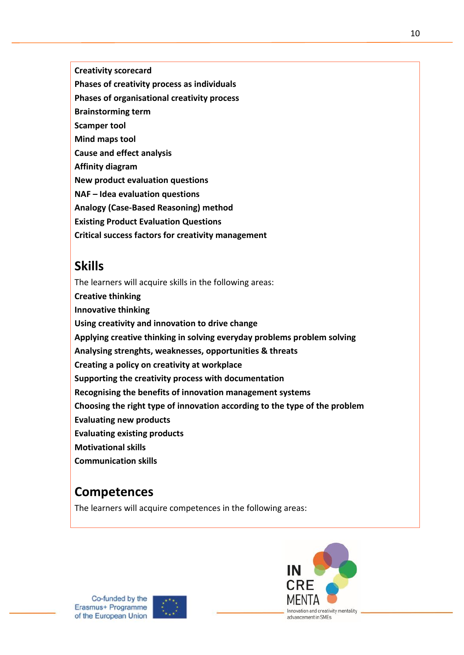**Creativity scorecard**

**Phases of creativity process as individuals**

**Phases of organisational creativity process** 

- **Brainstorming term**
- **Scamper tool**
- **Mind maps tool**

**Cause and effect analysis**

**Affinity diagram**

**New product evaluation questions**

**NAF – Idea evaluation questions**

**Analogy (Case-Based Reasoning) method**

**Existing Product Evaluation Questions**

**Critical success factors for creativity management**

# **Skills**

The learners will acquire skills in the following areas: **Creative thinking Innovative thinking Using creativity and innovation to drive change Applying creative thinking in solving everyday problems problem solving Analysing strenghts, weaknesses, opportunities & threats Creating a policy on creativity at workplace Supporting the creativity process with documentation Recognising the benefits of innovation management systems Choosing the right type of innovation according to the type of the problem Evaluating new products Evaluating existing products Motivational skills Communication skills**

# **Competences**

The learners will acquire competences in the following areas:





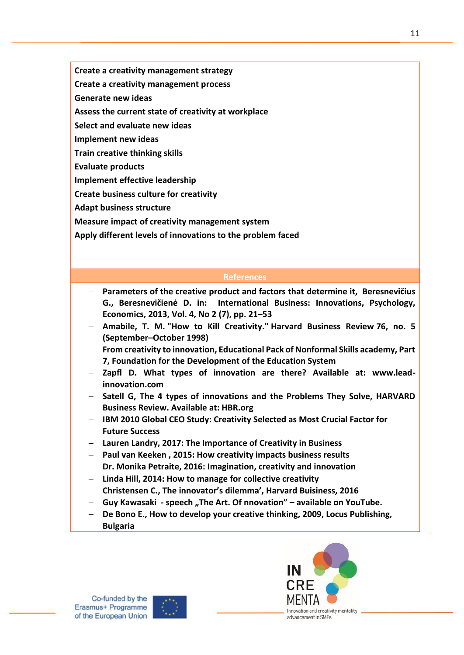**Create a creativity management strategy**

**Create a creativity management process**

**Generate new ideas**

**Assess the current state of creativity at workplace**

**Select and evaluate new ideas**

**Implement new ideas**

**Train creative thinking skills**

**Evaluate products**

**Implement effective leadership**

**Create business culture for creativity**

**Adapt business structure**

**Measure impact of creativity management system**

**Apply different levels of innovations to the problem faced**

### **References**

- − **Parameters of the creative product and factors that determine it, Beresnevičius G., Beresnevičienė D. in: International Business: Innovations, Psychology, Economics, 2013, Vol. 4, No 2 (7), pp. 21–53**
- − **Amabile, T. M. "How to Kill Creativity." Harvard Business Review 76, no. 5 (September–October 1998)**
- − **From creativity to innovation, Educational Pack of Nonformal Skills academy, Part 7, Foundation for the Development of the Education System**
- − **Zapfl D. What types of innovation are there? Available at: www.leadinnovation.com**
- − **Satell G, The 4 types of innovations and the Problems They Solve, HARVARD Business Review. Available at: HBR.org**
- − **IBM 2010 Global CEO Study: Creativity Selected as Most Crucial Factor for Future Success**
- − **Lauren Landry, 2017: The Importance of Creativity in Business**
- − **Paul van Keeken , 2015: How creativity impacts business results**
- − **Dr. Monika Petraite, 2016: Imagination, creativity and innovation**
- − **Linda Hill, 2014: How to manage for collective creativity**
- − **Christensen C., The innovator's dilemma', Harvard Buisiness, 2016**
- − **Guy Kawasaki - speech "The Art. Of nnovation" – available on YouTube.**
- − **De Bono E., How to develop your creative thinking, 2009, Locus Publishing, Bulgaria**



11

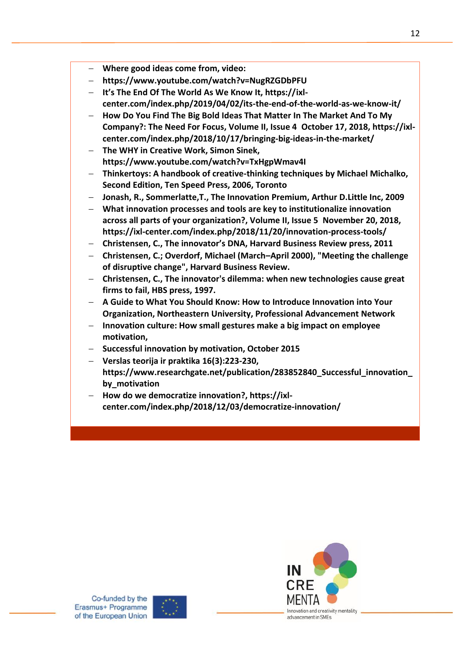- − **Where good ideas come from, video:**
- − **https://www.youtube.com/watch?v=NugRZGDbPFU**
- − **It's The End Of The World As We Know It, https://ixlcenter.com/index.php/2019/04/02/its-the-end-of-the-world-as-we-know-it/**
- − **How Do You Find The Big Bold Ideas That Matter In The Market And To My Company?: The Need For Focus, Volume II, Issue 4 October 17, 2018, https://ixlcenter.com/index.php/2018/10/17/bringing-big-ideas-in-the-market/**
- − **The WHY in Creative Work, Simon Sinek, https://www.youtube.com/watch?v=TxHgpWmav4I**
- − **Thinkertoys: A handbook of creative-thinking techniques by Michael Michalko, Second Edition, Ten Speed Press, 2006, Toronto**
- − **Jonash, R., Sommerlatte,T., The Innovation Premium, Arthur D.Little Inc, 2009**
- − **What innovation processes and tools are key to institutionalize innovation across all parts of your organization?, Volume II, Issue 5 November 20, 2018, https://ixl-center.com/index.php/2018/11/20/innovation-process-tools/**
- − **Christensen, C., The innovator's DNA, Harvard Business Review press, 2011**
- − **Christensen, C.; Overdorf, Michael (March–April 2000), "Meeting the challenge of disruptive change", Harvard Business Review.**
- − **Christensen, C., The innovator's dilemma: when new technologies cause great firms to fail, HBS press, 1997.**
- − **A Guide to What You Should Know: How to Introduce Innovation into Your Organization, Northeastern University, Professional Advancement Network**
- − **Innovation culture: How small gestures make a big impact on employee motivation,**
- − **Successful innovation by motivation, October 2015**
- − **Verslas teorija ir praktika 16(3):223-230, https://www.researchgate.net/publication/283852840\_Successful\_innovation\_ by\_motivation**
- − **How do we democratize innovation?, https://ixlcenter.com/index.php/2018/12/03/democratize-innovation/**



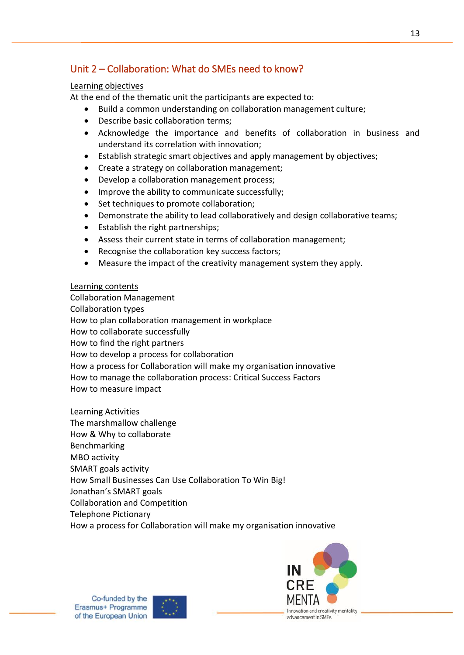### <span id="page-12-0"></span>Unit 2 – Collaboration: What do SMEs need to know?

### Learning objectives

At the end of the thematic unit the participants are expected to:

- Build a common understanding on collaboration management culture;
- Describe basic collaboration terms;
- Acknowledge the importance and benefits of collaboration in business and understand its correlation with innovation;
- Establish strategic smart objectives and apply management by objectives;
- Create a strategy on collaboration management;
- Develop a collaboration management process;
- Improve the ability to communicate successfully;
- Set techniques to promote collaboration;
- Demonstrate the ability to lead collaboratively and design collaborative teams;
- Establish the right partnerships;
- Assess their current state in terms of collaboration management;
- Recognise the collaboration key success factors;
- Measure the impact of the creativity management system they apply.

### Learning contents

Collaboration Management Collaboration types How to plan collaboration management in workplace How to collaborate successfully How to find the right partners How to develop a process for collaboration How a process for Collaboration will make my organisation innovative How to manage the collaboration process: Critical Success Factors How to measure impact

### Learning Activities

The marshmallow challenge How & Why to collaborate **Benchmarking** MBO activity SMART goals activity How Small Businesses Can Use Collaboration To Win Big! Jonathan's SMART goals Collaboration and Competition Telephone Pictionary How a process for Collaboration will make my organisation innovative

Innovation and creativity mentality

advancement in SMEs

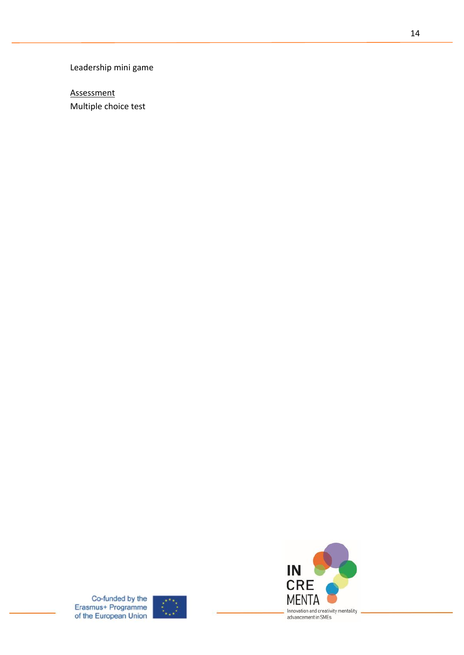Leadership mini game

**Assessment** Multiple choice test



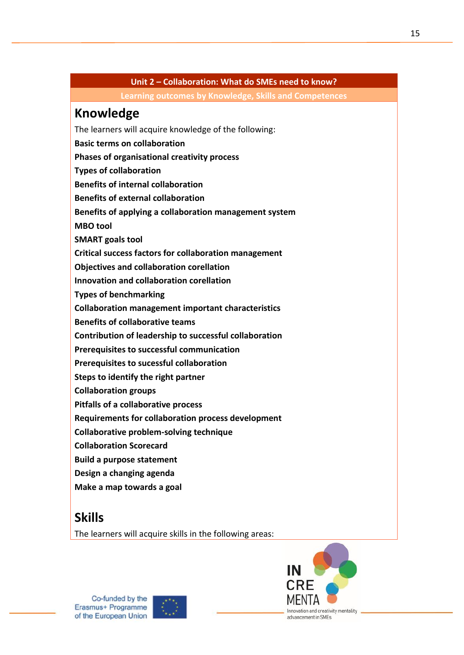### **Unit 2 – Collaboration: What do SMEs need to know?**

**Learning outcomes by Knowledge, Skills and Competences**

# **Knowledge**

The learners will acquire knowledge of the following:

- **Basic terms on collaboration**
- **Phases of organisational creativity process**
- **Types of collaboration**
- **Benefits of internal collaboration**
- **Benefits of external collaboration**
- **Benefits of applying a collaboration management system**
- **MBO tool**
- **SMART goals tool**
- **Critical success factors for collaboration management**
- **Objectives and collaboration corellation**
- **Innovation and collaboration corellation**
- **Types of benchmarking**
- **Collaboration management important characteristics**
- **Benefits of collaborative teams**
- **Contribution of leadership to successful collaboration**
- **Prerequisites to successful communication**
- **Prerequisites to sucessful collaboration**
- **Steps to identify the right partner**
- **Collaboration groups**
- **Pitfalls of a collaborative process**
- **Requirements for collaboration process development**
- **Collaborative problem-solving technique**
- **Collaboration Scorecard**
- **Build a purpose statement**
- **Design a changing agenda**
- **Make a map towards a goal**

## **Skills**

The learners will acquire skills in the following areas:



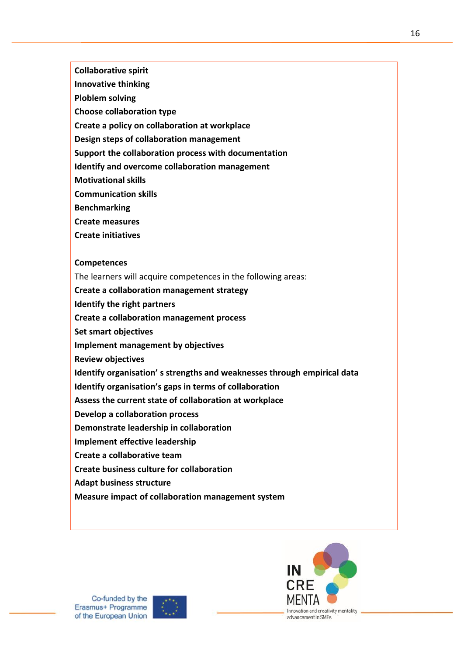**Collaborative spirit**

- **Innovative thinking**
- **Ploblem solving**
- **Choose collaboration type**
- **Create a policy on collaboration at workplace**
- **Design steps of collaboration management**
- **Support the collaboration process with documentation**
- **Identify and overcome collaboration management**
- **Motivational skills**
- **Communication skills**
- **Benchmarking**
- **Create measures**
- **Create initiatives**

#### **Competences**

- The learners will acquire competences in the following areas:
- **Create a collaboration management strategy**
- **Identify the right partners**
- **Create a collaboration management process**
- **Set smart objectives**
- **Implement management by objectives**
- **Review objectives**
- **Identify organisation' s strengths and weaknesses through empirical data**
- **Identify organisation's gaps in terms of collaboration**
- **Assess the current state of collaboration at workplace**
- **Develop a collaboration process**
- **Demonstrate leadership in collaboration**
- **Implement effective leadership**
- **Create a collaborative team**
- **Create business culture for collaboration**
- **Adapt business structure**
- **Measure impact of collaboration management system**



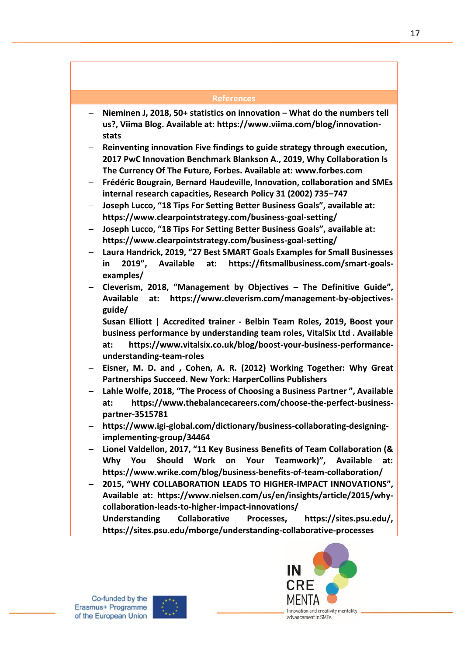#### **References**

- − **Nieminen J, 2018, 50+ statistics on innovation – What do the numbers tell us?, Viima Blog. Available at: https://www.viima.com/blog/innovationstats**
- − **Reinventing innovation Five findings to guide strategy through execution, 2017 PwC Innovation Benchmark Blankson A., 2019, Why Collaboration Is The Currency Of The Future, Forbes. Available at: [www.forbes.com](http://www.forbes.com/)**
- − **Frédéric Bougrain, Bernard Haudeville, Innovation, collaboration and SMEs internal research capacities, Research Policy 31 (2002) 735–747**
- − **[Joseph Lucco](https://www.clearpointstrategy.com/author/jlucco/), "18 Tips For Setting Better Business Goals", available at: <https://www.clearpointstrategy.com/business-goal-setting/>**
- − **Joseph Lucco, "18 Tips For Setting Better Business Goals", available at: <https://www.clearpointstrategy.com/business-goal-setting/>**
- − **Laura Handrick, 2019, "27 Best SMART Goals Examples for Small Businesses in 2019", Available at: https://fitsmallbusiness.com/smart-goalsexamples/**
- − **Cleverism, 2018, "Management by Objectives – The Definitive Guide", Available at: [https://www.cleverism.com/management-by-objectives](https://www.cleverism.com/management-by-objectives-guide/)[guide/](https://www.cleverism.com/management-by-objectives-guide/)**
- − **Susan Elliott | Accredited trainer - Belbin Team Roles, 2019, Boost your business performance by understanding team roles, VitalSix Ltd . Available at: [https://www.vitalsix.co.uk/blog/boost-your-business-performance](https://www.vitalsix.co.uk/blog/boost-your-business-performance-understanding-team-roles)[understanding-team-roles](https://www.vitalsix.co.uk/blog/boost-your-business-performance-understanding-team-roles)**
- − **Eisner, M. D. and , Cohen, A. R. (2012) Working Together: Why Great Partnerships Succeed. New York: HarperCollins Publishers**
- − **Lahle Wolfe, 2018, "The Process of Choosing a Business Partner ", Available at: [https://www.thebalancecareers.com/choose-the-perfect-business](https://www.thebalancecareers.com/choose-the-perfect-business-partner-3515781)[partner-3515781](https://www.thebalancecareers.com/choose-the-perfect-business-partner-3515781)**
- − **[https://www.igi-global.com/dictionary/business-collaborating-designing](https://www.igi-global.com/dictionary/business-collaborating-designing-implementing-group/34464)[implementing-group/34464](https://www.igi-global.com/dictionary/business-collaborating-designing-implementing-group/34464)**
- − **Lionel Valdellon, 2017, "11 Key Business Benefits of Team Collaboration (& Why You Should Work on Your Teamwork)", Available at: <https://www.wrike.com/blog/business-benefits-of-team-collaboration/>**
- − **2015, "WHY COLLABORATION LEADS TO HIGHER-IMPACT INNOVATIONS", Available at: [https://www.nielsen.com/us/en/insights/article/2015/why](https://www.nielsen.com/us/en/insights/article/2015/why-collaboration-leads-to-higher-impact-innovations/)[collaboration-leads-to-higher-impact-innovations/](https://www.nielsen.com/us/en/insights/article/2015/why-collaboration-leads-to-higher-impact-innovations/)**
- − **Understanding Collaborative Processes, https://sites.psu.edu/, <https://sites.psu.edu/mborge/understanding-collaborative-processes>**

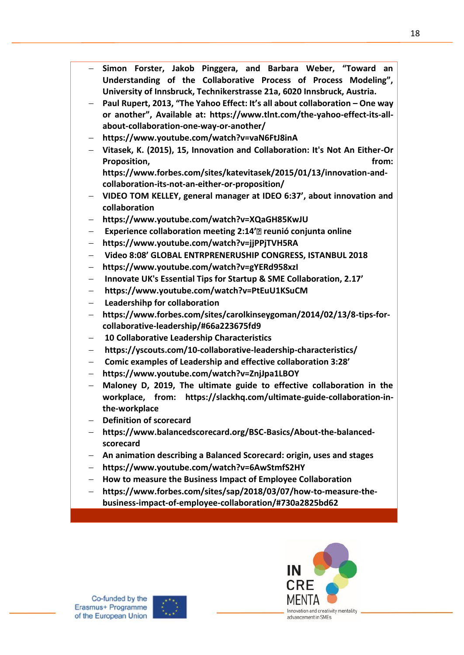- − **Simon Forster, Jakob Pinggera, and Barbara Weber, "Toward an Understanding of the Collaborative Process of Process Modeling", University of Innsbruck, Technikerstrasse 21a, 6020 Innsbruck, Austria.**
- − **Paul Rupert, 2013, "The Yahoo Effect: It's all about collaboration – One way or another", Available at: [https://www.tlnt.com/the-yahoo-effect-its-all](https://www.tlnt.com/the-yahoo-effect-its-all-about-collaboration-one-way-or-another/)[about-collaboration-one-way-or-another/](https://www.tlnt.com/the-yahoo-effect-its-all-about-collaboration-one-way-or-another/)**
- − **https://www.youtube.com/watch?v=vaN6FtJ8inA**
- − **Vitasek, K. (2015), 15, Innovation and Collaboration: It's Not An Either-Or Proposition. From:** *Proposition.*

**[https://www.forbes.com/sites/katevitasek/2015/01/13/innovation-and](https://www.forbes.com/sites/katevitasek/2015/01/13/innovation-and-collaboration-its-not-an-either-or-proposition/)[collaboration-its-not-an-either-or-proposition/](https://www.forbes.com/sites/katevitasek/2015/01/13/innovation-and-collaboration-its-not-an-either-or-proposition/)**

- − **VIDEO TOM KELLEY, general manager at IDEO 6:37', about innovation and collaboration**
- − **https://www.youtube.com/watch?v=XQaGH85KwJU**
- − **Experience collaboration meeting 2:14' reunió conjunta online**
- − **https://www.youtube.com/watch?v=jjPPjTVH5RA**
- − **Video 8:08' GLOBAL ENTRPRENERUSHIP CONGRESS, ISTANBUL 2018**
- − **https://www.youtube.com/watch?v=gYERd958xzI**
- − **Innovate UK's Essential Tips for Startup & SME Collaboration, 2.17'**
- − **https://www.youtube.com/watch?v=PtEuU1KSuCM**
- − **Leadershihp for collaboration**
- − **https://www.forbes.com/sites/carolkinseygoman/2014/02/13/8-tips-forcollaborative-leadership/#66a223675fd9**
- − **10 Collaborative Leadership Characteristics**
- − **https://yscouts.com/10-collaborative-leadership-characteristics/**
- − **Comic examples of Leadership and effective collaboration 3:28'**
- − **https://www.youtube.com/watch?v=ZnjJpa1LBOY**
- − **Maloney D, 2019, The ultimate guide to effective collaboration in the workplace, from: [https://slackhq.com/ultimate-guide-collaboration-in](https://slackhq.com/ultimate-guide-collaboration-in-the-workplace)[the-workplace](https://slackhq.com/ultimate-guide-collaboration-in-the-workplace)**
- − **Definition of scorecard**
- − **https://www.balancedscorecard.org/BSC-Basics/About-the-balancedscorecard**
- − **An animation describing a Balanced Scorecard: origin, uses and stages**
- − **https://www.youtube.com/watch?v=6AwStmfS2HY**
- − **How to measure the Business Impact of Employee Collaboration**
- − **https://www.forbes.com/sites/sap/2018/03/07/how-to-measure-thebusiness-impact-of-employee-collaboration/#730a2825bd62**



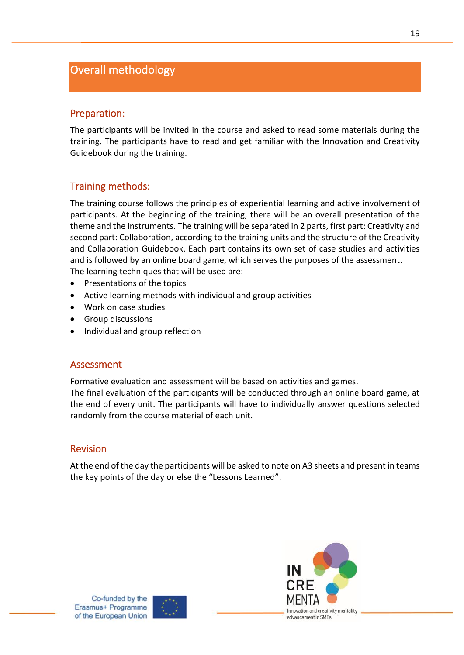### <span id="page-18-0"></span>Overall methodology

### <span id="page-18-1"></span>Preparation:

The participants will be invited in the course and asked to read some materials during the training. The participants have to read and get familiar with the Innovation and Creativity Guidebook during the training.

### <span id="page-18-2"></span>Training methods:

The training course follows the principles of experiential learning and active involvement of participants. At the beginning of the training, there will be an overall presentation of the theme and the instruments. The training will be separated in 2 parts, first part: Creativity and second part: Collaboration, according to the training units and the structure of the Creativity and Collaboration Guidebook. Each part contains its own set of case studies and activities and is followed by an online board game, which serves the purposes of the assessment. The learning techniques that will be used are:

- Presentations of the topics
- Active learning methods with individual and group activities
- Work on case studies
- Group discussions
- Individual and group reflection

### <span id="page-18-3"></span>Assessment

Formative evaluation and assessment will be based on activities and games.

The final evaluation of the participants will be conducted through an online board game, at the end of every unit. The participants will have to individually answer questions selected randomly from the course material of each unit.

### <span id="page-18-4"></span>Revision

At the end of the day the participants will be asked to note on A3 sheets and present in teams the key points of the day or else the "Lessons Learned".



of the European Union